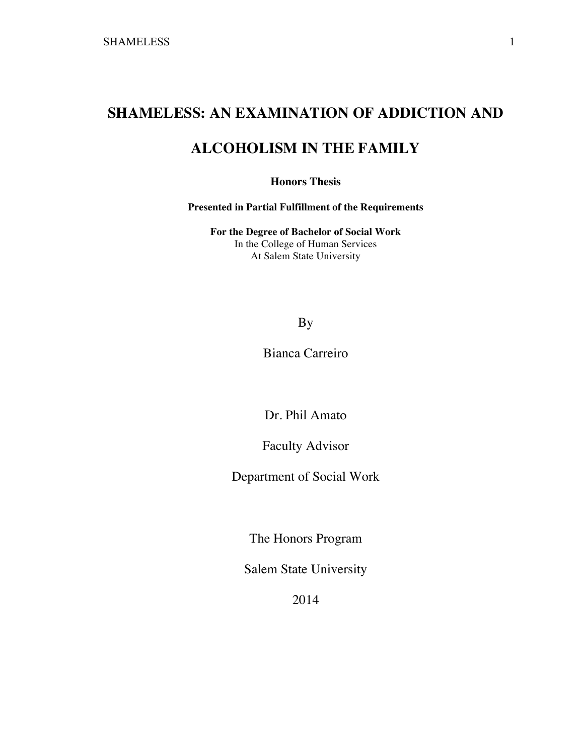# **SHAMELESS: AN EXAMINATION OF ADDICTION AND**

# **ALCOHOLISM IN THE FAMILY**

**Honors Thesis**

**Presented in Partial Fulfillment of the Requirements**

**For the Degree of Bachelor of Social Work** In the College of Human Services At Salem State University

## By

Bianca Carreiro

Dr. Phil Amato

Faculty Advisor

Department of Social Work

The Honors Program

Salem State University

2014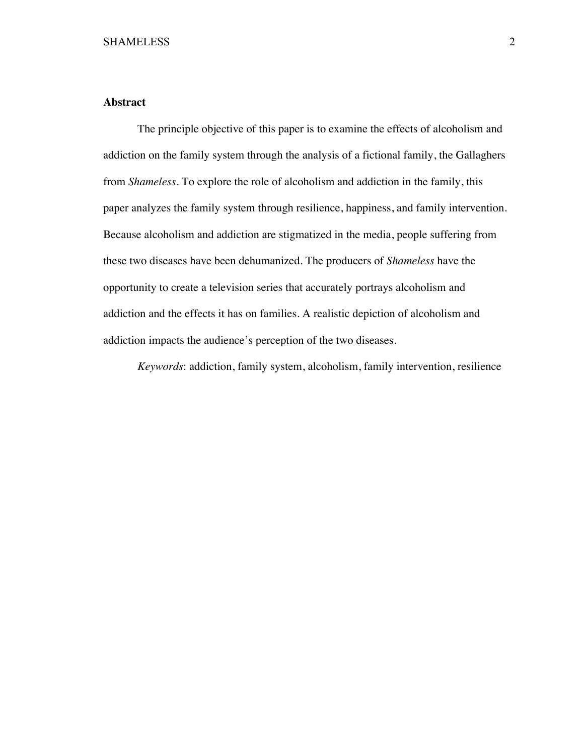## **Abstract**

The principle objective of this paper is to examine the effects of alcoholism and addiction on the family system through the analysis of a fictional family, the Gallaghers from *Shameless*. To explore the role of alcoholism and addiction in the family, this paper analyzes the family system through resilience, happiness, and family intervention. Because alcoholism and addiction are stigmatized in the media, people suffering from these two diseases have been dehumanized. The producers of *Shameless* have the opportunity to create a television series that accurately portrays alcoholism and addiction and the effects it has on families. A realistic depiction of alcoholism and addiction impacts the audience's perception of the two diseases.

*Keywords*: addiction, family system, alcoholism, family intervention, resilience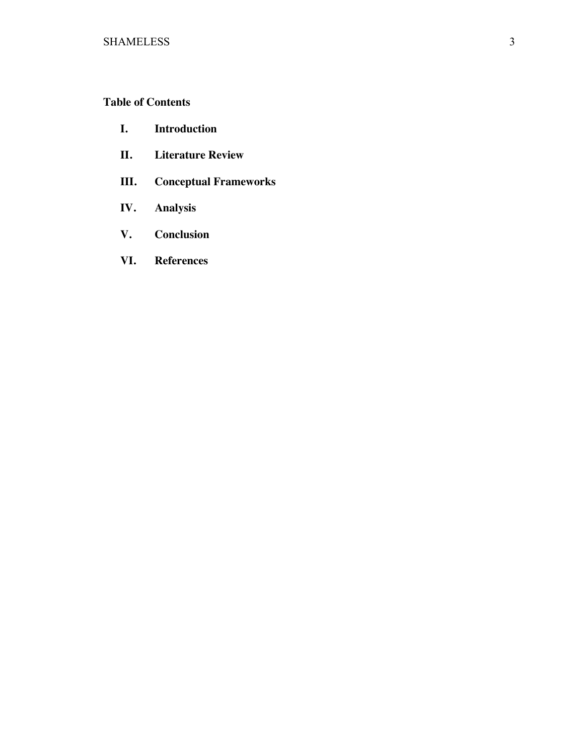## **Table of Contents**

- **I. Introduction**
- **II. Literature Review**
- **III. Conceptual Frameworks**
- **IV. Analysis**
- **V. Conclusion**
- **VI. References**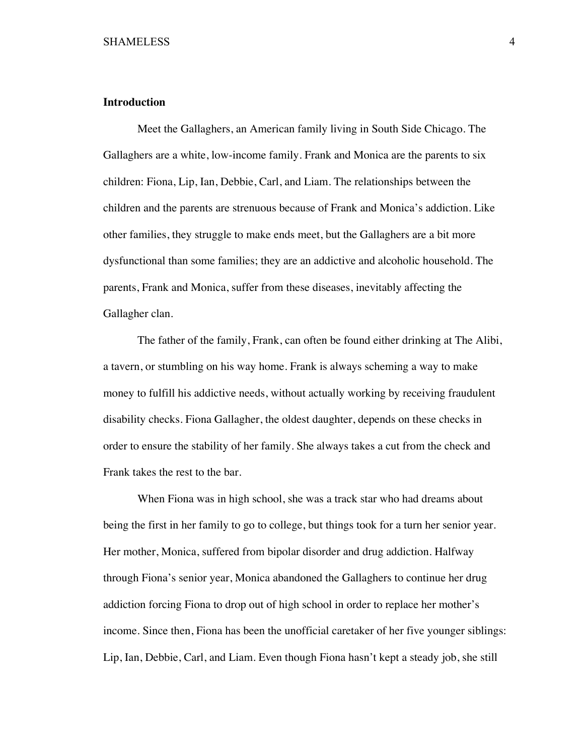#### **Introduction**

Meet the Gallaghers, an American family living in South Side Chicago. The Gallaghers are a white, low-income family. Frank and Monica are the parents to six children: Fiona, Lip, Ian, Debbie, Carl, and Liam. The relationships between the children and the parents are strenuous because of Frank and Monica's addiction. Like other families, they struggle to make ends meet, but the Gallaghers are a bit more dysfunctional than some families; they are an addictive and alcoholic household. The parents, Frank and Monica, suffer from these diseases, inevitably affecting the Gallagher clan.

The father of the family, Frank, can often be found either drinking at The Alibi, a tavern, or stumbling on his way home. Frank is always scheming a way to make money to fulfill his addictive needs, without actually working by receiving fraudulent disability checks. Fiona Gallagher, the oldest daughter, depends on these checks in order to ensure the stability of her family. She always takes a cut from the check and Frank takes the rest to the bar.

When Fiona was in high school, she was a track star who had dreams about being the first in her family to go to college, but things took for a turn her senior year. Her mother, Monica, suffered from bipolar disorder and drug addiction. Halfway through Fiona's senior year, Monica abandoned the Gallaghers to continue her drug addiction forcing Fiona to drop out of high school in order to replace her mother's income. Since then, Fiona has been the unofficial caretaker of her five younger siblings: Lip, Ian, Debbie, Carl, and Liam. Even though Fiona hasn't kept a steady job, she still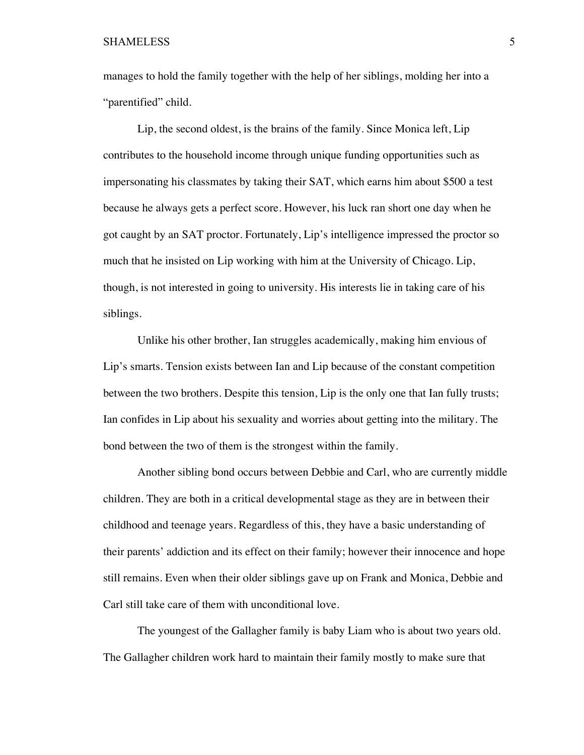manages to hold the family together with the help of her siblings, molding her into a "parentified" child.

Lip, the second oldest, is the brains of the family. Since Monica left, Lip contributes to the household income through unique funding opportunities such as impersonating his classmates by taking their SAT, which earns him about \$500 a test because he always gets a perfect score. However, his luck ran short one day when he got caught by an SAT proctor. Fortunately, Lip's intelligence impressed the proctor so much that he insisted on Lip working with him at the University of Chicago. Lip, though, is not interested in going to university. His interests lie in taking care of his siblings.

Unlike his other brother, Ian struggles academically, making him envious of Lip's smarts. Tension exists between Ian and Lip because of the constant competition between the two brothers. Despite this tension, Lip is the only one that Ian fully trusts; Ian confides in Lip about his sexuality and worries about getting into the military. The bond between the two of them is the strongest within the family.

Another sibling bond occurs between Debbie and Carl, who are currently middle children. They are both in a critical developmental stage as they are in between their childhood and teenage years. Regardless of this, they have a basic understanding of their parents' addiction and its effect on their family; however their innocence and hope still remains. Even when their older siblings gave up on Frank and Monica, Debbie and Carl still take care of them with unconditional love.

The youngest of the Gallagher family is baby Liam who is about two years old. The Gallagher children work hard to maintain their family mostly to make sure that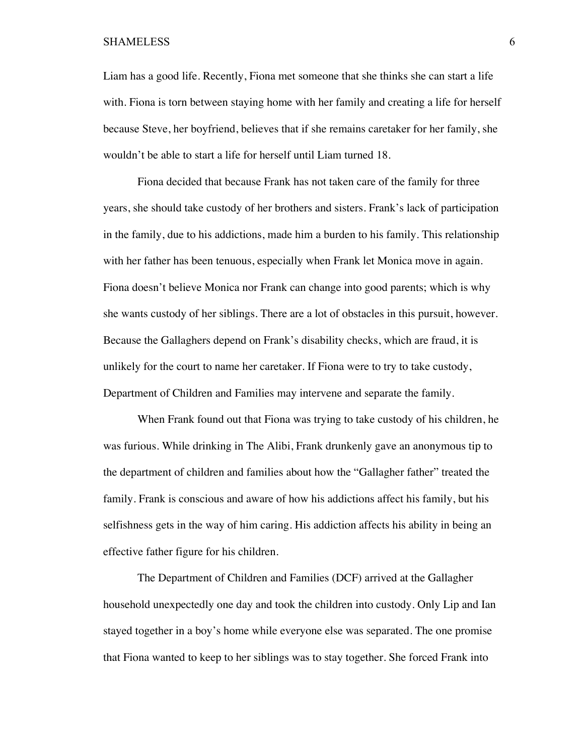Liam has a good life. Recently, Fiona met someone that she thinks she can start a life with. Fiona is torn between staying home with her family and creating a life for herself because Steve, her boyfriend, believes that if she remains caretaker for her family, she wouldn't be able to start a life for herself until Liam turned 18.

Fiona decided that because Frank has not taken care of the family for three years, she should take custody of her brothers and sisters. Frank's lack of participation in the family, due to his addictions, made him a burden to his family. This relationship with her father has been tenuous, especially when Frank let Monica move in again. Fiona doesn't believe Monica nor Frank can change into good parents; which is why she wants custody of her siblings. There are a lot of obstacles in this pursuit, however. Because the Gallaghers depend on Frank's disability checks, which are fraud, it is unlikely for the court to name her caretaker. If Fiona were to try to take custody, Department of Children and Families may intervene and separate the family.

When Frank found out that Fiona was trying to take custody of his children, he was furious. While drinking in The Alibi, Frank drunkenly gave an anonymous tip to the department of children and families about how the "Gallagher father" treated the family. Frank is conscious and aware of how his addictions affect his family, but his selfishness gets in the way of him caring. His addiction affects his ability in being an effective father figure for his children.

The Department of Children and Families (DCF) arrived at the Gallagher household unexpectedly one day and took the children into custody. Only Lip and Ian stayed together in a boy's home while everyone else was separated. The one promise that Fiona wanted to keep to her siblings was to stay together. She forced Frank into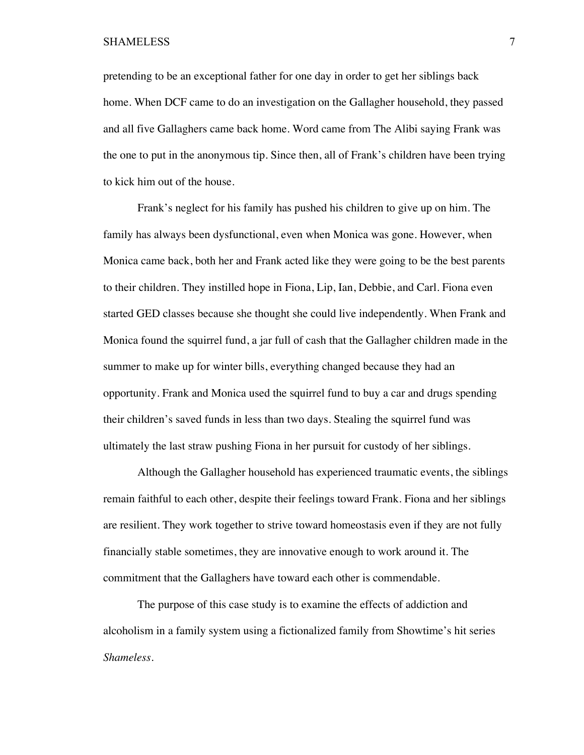pretending to be an exceptional father for one day in order to get her siblings back home. When DCF came to do an investigation on the Gallagher household, they passed and all five Gallaghers came back home. Word came from The Alibi saying Frank was the one to put in the anonymous tip. Since then, all of Frank's children have been trying to kick him out of the house.

Frank's neglect for his family has pushed his children to give up on him. The family has always been dysfunctional, even when Monica was gone. However, when Monica came back, both her and Frank acted like they were going to be the best parents to their children. They instilled hope in Fiona, Lip, Ian, Debbie, and Carl. Fiona even started GED classes because she thought she could live independently. When Frank and Monica found the squirrel fund, a jar full of cash that the Gallagher children made in the summer to make up for winter bills, everything changed because they had an opportunity. Frank and Monica used the squirrel fund to buy a car and drugs spending their children's saved funds in less than two days. Stealing the squirrel fund was ultimately the last straw pushing Fiona in her pursuit for custody of her siblings.

Although the Gallagher household has experienced traumatic events, the siblings remain faithful to each other, despite their feelings toward Frank. Fiona and her siblings are resilient. They work together to strive toward homeostasis even if they are not fully financially stable sometimes, they are innovative enough to work around it. The commitment that the Gallaghers have toward each other is commendable.

The purpose of this case study is to examine the effects of addiction and alcoholism in a family system using a fictionalized family from Showtime's hit series *Shameless*.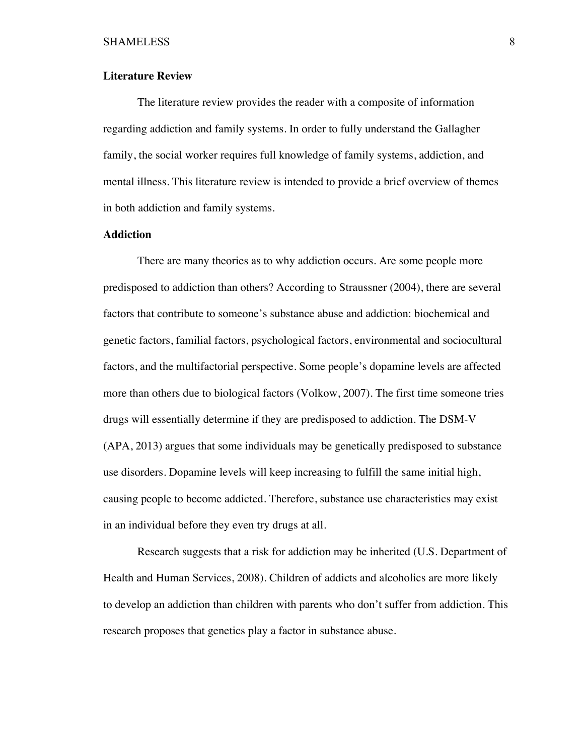#### **Literature Review**

The literature review provides the reader with a composite of information regarding addiction and family systems. In order to fully understand the Gallagher family, the social worker requires full knowledge of family systems, addiction, and mental illness. This literature review is intended to provide a brief overview of themes in both addiction and family systems.

#### **Addiction**

There are many theories as to why addiction occurs. Are some people more predisposed to addiction than others? According to Straussner (2004), there are several factors that contribute to someone's substance abuse and addiction: biochemical and genetic factors, familial factors, psychological factors, environmental and sociocultural factors, and the multifactorial perspective. Some people's dopamine levels are affected more than others due to biological factors (Volkow, 2007). The first time someone tries drugs will essentially determine if they are predisposed to addiction. The DSM-V (APA, 2013) argues that some individuals may be genetically predisposed to substance use disorders. Dopamine levels will keep increasing to fulfill the same initial high, causing people to become addicted. Therefore, substance use characteristics may exist in an individual before they even try drugs at all.

Research suggests that a risk for addiction may be inherited (U.S. Department of Health and Human Services, 2008). Children of addicts and alcoholics are more likely to develop an addiction than children with parents who don't suffer from addiction. This research proposes that genetics play a factor in substance abuse.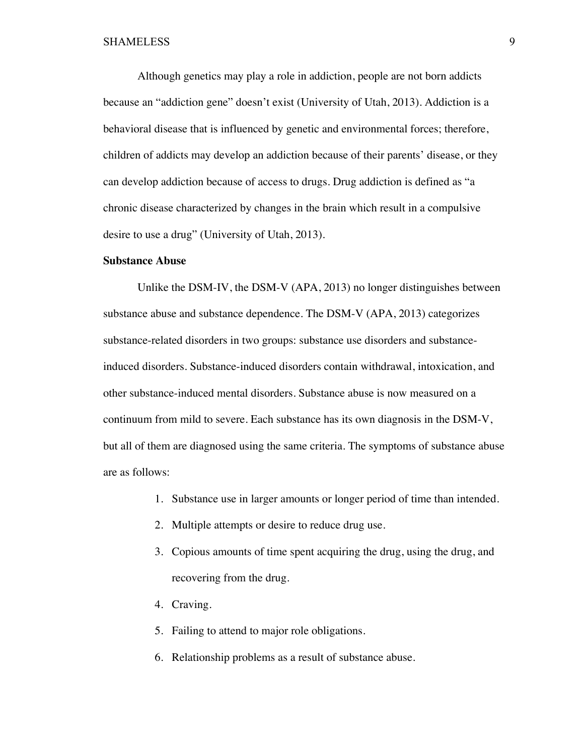Although genetics may play a role in addiction, people are not born addicts because an "addiction gene" doesn't exist (University of Utah, 2013). Addiction is a behavioral disease that is influenced by genetic and environmental forces; therefore, children of addicts may develop an addiction because of their parents' disease, or they can develop addiction because of access to drugs. Drug addiction is defined as "a chronic disease characterized by changes in the brain which result in a compulsive desire to use a drug" (University of Utah, 2013).

#### **Substance Abuse**

Unlike the DSM-IV, the DSM-V (APA, 2013) no longer distinguishes between substance abuse and substance dependence. The DSM-V (APA, 2013) categorizes substance-related disorders in two groups: substance use disorders and substanceinduced disorders. Substance-induced disorders contain withdrawal, intoxication, and other substance-induced mental disorders. Substance abuse is now measured on a continuum from mild to severe. Each substance has its own diagnosis in the DSM-V, but all of them are diagnosed using the same criteria. The symptoms of substance abuse are as follows:

- 1. Substance use in larger amounts or longer period of time than intended.
- 2. Multiple attempts or desire to reduce drug use.
- 3. Copious amounts of time spent acquiring the drug, using the drug, and recovering from the drug.
- 4. Craving.
- 5. Failing to attend to major role obligations.
- 6. Relationship problems as a result of substance abuse.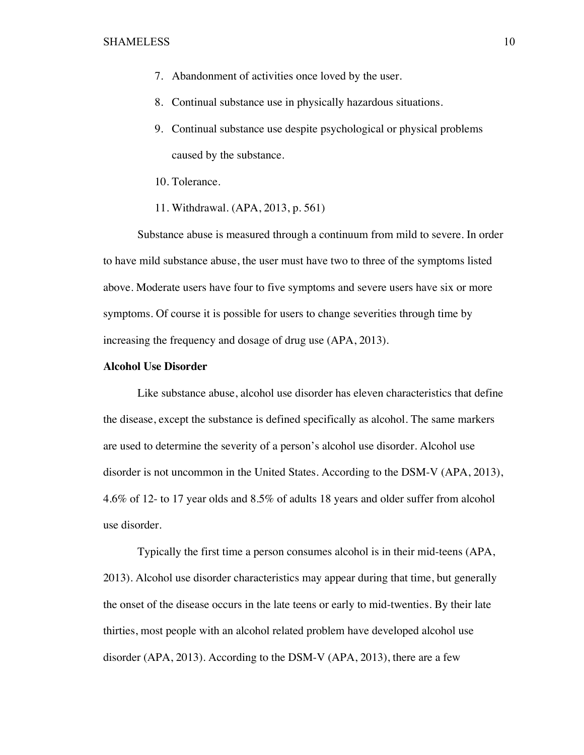- 7. Abandonment of activities once loved by the user.
- 8. Continual substance use in physically hazardous situations.
- 9. Continual substance use despite psychological or physical problems caused by the substance.
- 10. Tolerance.
- 11. Withdrawal. (APA, 2013, p. 561)

Substance abuse is measured through a continuum from mild to severe. In order to have mild substance abuse, the user must have two to three of the symptoms listed above. Moderate users have four to five symptoms and severe users have six or more symptoms. Of course it is possible for users to change severities through time by increasing the frequency and dosage of drug use (APA, 2013).

#### **Alcohol Use Disorder**

Like substance abuse, alcohol use disorder has eleven characteristics that define the disease, except the substance is defined specifically as alcohol. The same markers are used to determine the severity of a person's alcohol use disorder. Alcohol use disorder is not uncommon in the United States. According to the DSM-V (APA, 2013), 4.6% of 12- to 17 year olds and 8.5% of adults 18 years and older suffer from alcohol use disorder.

Typically the first time a person consumes alcohol is in their mid-teens (APA, 2013). Alcohol use disorder characteristics may appear during that time, but generally the onset of the disease occurs in the late teens or early to mid-twenties. By their late thirties, most people with an alcohol related problem have developed alcohol use disorder (APA, 2013). According to the DSM-V (APA, 2013), there are a few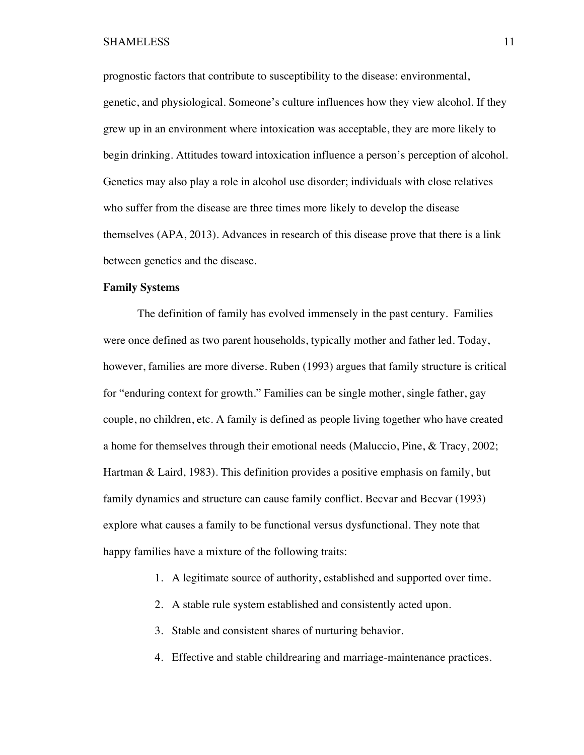prognostic factors that contribute to susceptibility to the disease: environmental, genetic, and physiological. Someone's culture influences how they view alcohol. If they grew up in an environment where intoxication was acceptable, they are more likely to begin drinking. Attitudes toward intoxication influence a person's perception of alcohol. Genetics may also play a role in alcohol use disorder; individuals with close relatives who suffer from the disease are three times more likely to develop the disease themselves (APA, 2013). Advances in research of this disease prove that there is a link between genetics and the disease.

#### **Family Systems**

The definition of family has evolved immensely in the past century. Families were once defined as two parent households, typically mother and father led. Today, however, families are more diverse. Ruben (1993) argues that family structure is critical for "enduring context for growth." Families can be single mother, single father, gay couple, no children, etc. A family is defined as people living together who have created a home for themselves through their emotional needs (Maluccio, Pine, & Tracy, 2002; Hartman & Laird, 1983). This definition provides a positive emphasis on family, but family dynamics and structure can cause family conflict. Becvar and Becvar (1993) explore what causes a family to be functional versus dysfunctional. They note that happy families have a mixture of the following traits:

- 1. A legitimate source of authority, established and supported over time.
- 2. A stable rule system established and consistently acted upon.
- 3. Stable and consistent shares of nurturing behavior.
- 4. Effective and stable childrearing and marriage-maintenance practices.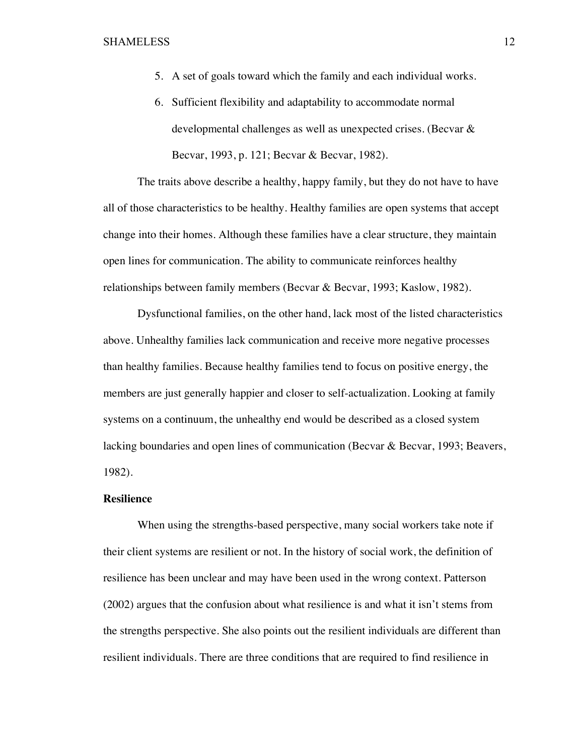- 5. A set of goals toward which the family and each individual works.
- 6. Sufficient flexibility and adaptability to accommodate normal developmental challenges as well as unexpected crises. (Becvar & Becvar, 1993, p. 121; Becvar & Becvar, 1982).

The traits above describe a healthy, happy family, but they do not have to have all of those characteristics to be healthy. Healthy families are open systems that accept change into their homes. Although these families have a clear structure, they maintain open lines for communication. The ability to communicate reinforces healthy relationships between family members (Becvar & Becvar, 1993; Kaslow, 1982).

Dysfunctional families, on the other hand, lack most of the listed characteristics above. Unhealthy families lack communication and receive more negative processes than healthy families. Because healthy families tend to focus on positive energy, the members are just generally happier and closer to self-actualization. Looking at family systems on a continuum, the unhealthy end would be described as a closed system lacking boundaries and open lines of communication (Becvar & Becvar, 1993; Beavers, 1982).

## **Resilience**

When using the strengths-based perspective, many social workers take note if their client systems are resilient or not. In the history of social work, the definition of resilience has been unclear and may have been used in the wrong context. Patterson (2002) argues that the confusion about what resilience is and what it isn't stems from the strengths perspective. She also points out the resilient individuals are different than resilient individuals. There are three conditions that are required to find resilience in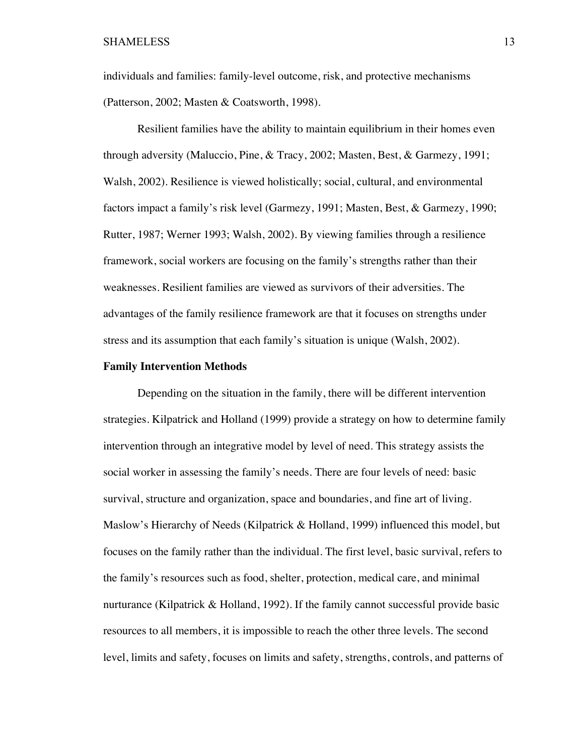individuals and families: family-level outcome, risk, and protective mechanisms (Patterson, 2002; Masten & Coatsworth, 1998).

Resilient families have the ability to maintain equilibrium in their homes even through adversity (Maluccio, Pine, & Tracy, 2002; Masten, Best, & Garmezy, 1991; Walsh, 2002). Resilience is viewed holistically; social, cultural, and environmental factors impact a family's risk level (Garmezy, 1991; Masten, Best, & Garmezy, 1990; Rutter, 1987; Werner 1993; Walsh, 2002). By viewing families through a resilience framework, social workers are focusing on the family's strengths rather than their weaknesses. Resilient families are viewed as survivors of their adversities. The advantages of the family resilience framework are that it focuses on strengths under stress and its assumption that each family's situation is unique (Walsh, 2002).

#### **Family Intervention Methods**

Depending on the situation in the family, there will be different intervention strategies. Kilpatrick and Holland (1999) provide a strategy on how to determine family intervention through an integrative model by level of need. This strategy assists the social worker in assessing the family's needs. There are four levels of need: basic survival, structure and organization, space and boundaries, and fine art of living. Maslow's Hierarchy of Needs (Kilpatrick & Holland, 1999) influenced this model, but focuses on the family rather than the individual. The first level, basic survival, refers to the family's resources such as food, shelter, protection, medical care, and minimal nurturance (Kilpatrick & Holland, 1992). If the family cannot successful provide basic resources to all members, it is impossible to reach the other three levels. The second level, limits and safety, focuses on limits and safety, strengths, controls, and patterns of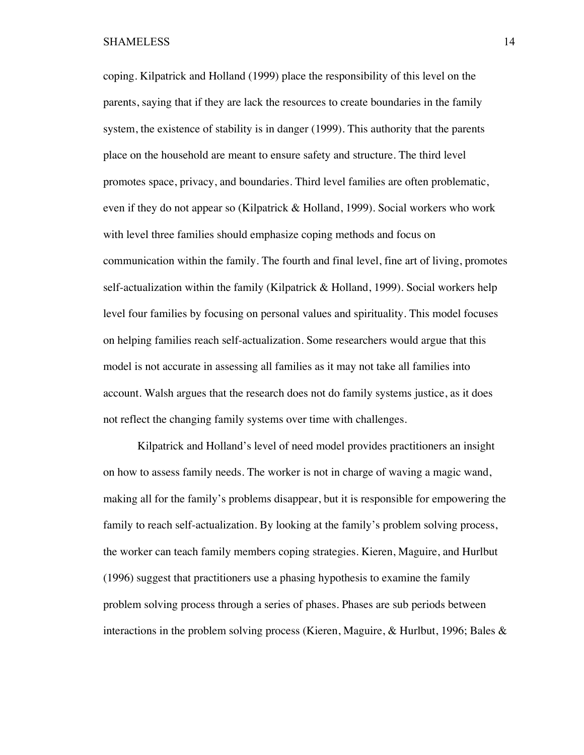coping. Kilpatrick and Holland (1999) place the responsibility of this level on the parents, saying that if they are lack the resources to create boundaries in the family system, the existence of stability is in danger (1999). This authority that the parents place on the household are meant to ensure safety and structure. The third level promotes space, privacy, and boundaries. Third level families are often problematic, even if they do not appear so (Kilpatrick & Holland, 1999). Social workers who work with level three families should emphasize coping methods and focus on communication within the family. The fourth and final level, fine art of living, promotes self-actualization within the family (Kilpatrick & Holland, 1999). Social workers help level four families by focusing on personal values and spirituality. This model focuses on helping families reach self-actualization. Some researchers would argue that this model is not accurate in assessing all families as it may not take all families into account. Walsh argues that the research does not do family systems justice, as it does not reflect the changing family systems over time with challenges.

Kilpatrick and Holland's level of need model provides practitioners an insight on how to assess family needs. The worker is not in charge of waving a magic wand, making all for the family's problems disappear, but it is responsible for empowering the family to reach self-actualization. By looking at the family's problem solving process, the worker can teach family members coping strategies. Kieren, Maguire, and Hurlbut (1996) suggest that practitioners use a phasing hypothesis to examine the family problem solving process through a series of phases. Phases are sub periods between interactions in the problem solving process (Kieren, Maguire, & Hurlbut, 1996; Bales &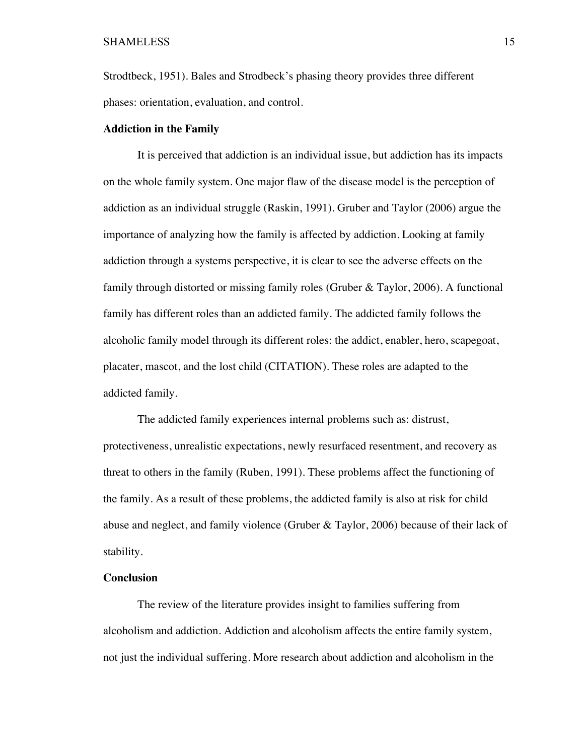Strodtbeck, 1951). Bales and Strodbeck's phasing theory provides three different phases: orientation, evaluation, and control.

#### **Addiction in the Family**

It is perceived that addiction is an individual issue, but addiction has its impacts on the whole family system. One major flaw of the disease model is the perception of addiction as an individual struggle (Raskin, 1991). Gruber and Taylor (2006) argue the importance of analyzing how the family is affected by addiction. Looking at family addiction through a systems perspective, it is clear to see the adverse effects on the family through distorted or missing family roles (Gruber & Taylor, 2006). A functional family has different roles than an addicted family. The addicted family follows the alcoholic family model through its different roles: the addict, enabler, hero, scapegoat, placater, mascot, and the lost child (CITATION). These roles are adapted to the addicted family.

The addicted family experiences internal problems such as: distrust, protectiveness, unrealistic expectations, newly resurfaced resentment, and recovery as threat to others in the family (Ruben, 1991). These problems affect the functioning of the family. As a result of these problems, the addicted family is also at risk for child abuse and neglect, and family violence (Gruber & Taylor, 2006) because of their lack of stability.

## **Conclusion**

The review of the literature provides insight to families suffering from alcoholism and addiction. Addiction and alcoholism affects the entire family system, not just the individual suffering. More research about addiction and alcoholism in the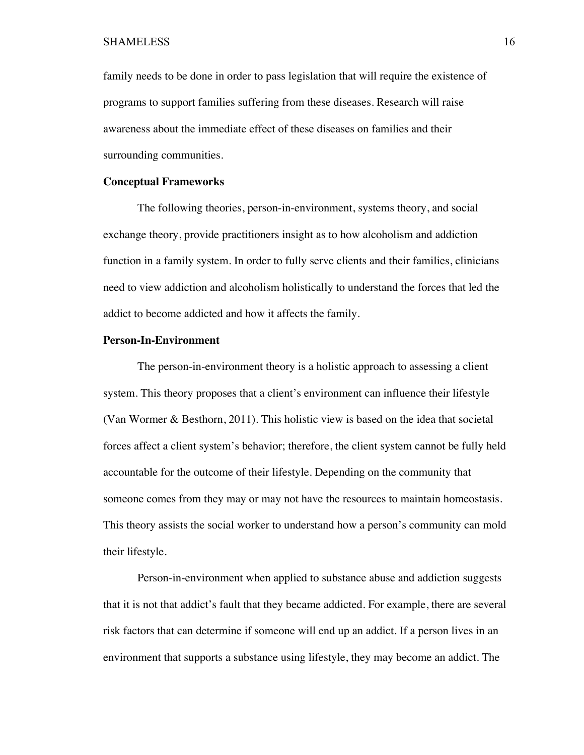family needs to be done in order to pass legislation that will require the existence of programs to support families suffering from these diseases. Research will raise awareness about the immediate effect of these diseases on families and their surrounding communities.

#### **Conceptual Frameworks**

The following theories, person-in-environment, systems theory, and social exchange theory, provide practitioners insight as to how alcoholism and addiction function in a family system. In order to fully serve clients and their families, clinicians need to view addiction and alcoholism holistically to understand the forces that led the addict to become addicted and how it affects the family.

#### **Person-In-Environment**

The person-in-environment theory is a holistic approach to assessing a client system. This theory proposes that a client's environment can influence their lifestyle (Van Wormer & Besthorn, 2011). This holistic view is based on the idea that societal forces affect a client system's behavior; therefore, the client system cannot be fully held accountable for the outcome of their lifestyle. Depending on the community that someone comes from they may or may not have the resources to maintain homeostasis. This theory assists the social worker to understand how a person's community can mold their lifestyle.

Person-in-environment when applied to substance abuse and addiction suggests that it is not that addict's fault that they became addicted. For example, there are several risk factors that can determine if someone will end up an addict. If a person lives in an environment that supports a substance using lifestyle, they may become an addict. The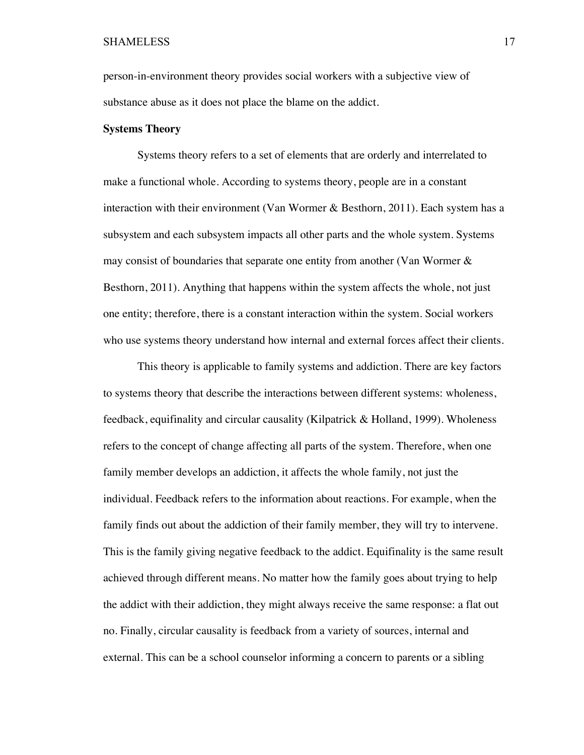person-in-environment theory provides social workers with a subjective view of substance abuse as it does not place the blame on the addict.

#### **Systems Theory**

Systems theory refers to a set of elements that are orderly and interrelated to make a functional whole. According to systems theory, people are in a constant interaction with their environment (Van Wormer & Besthorn, 2011). Each system has a subsystem and each subsystem impacts all other parts and the whole system. Systems may consist of boundaries that separate one entity from another (Van Wormer  $\&$ Besthorn, 2011). Anything that happens within the system affects the whole, not just one entity; therefore, there is a constant interaction within the system. Social workers who use systems theory understand how internal and external forces affect their clients.

This theory is applicable to family systems and addiction. There are key factors to systems theory that describe the interactions between different systems: wholeness, feedback, equifinality and circular causality (Kilpatrick & Holland, 1999). Wholeness refers to the concept of change affecting all parts of the system. Therefore, when one family member develops an addiction, it affects the whole family, not just the individual. Feedback refers to the information about reactions. For example, when the family finds out about the addiction of their family member, they will try to intervene. This is the family giving negative feedback to the addict. Equifinality is the same result achieved through different means. No matter how the family goes about trying to help the addict with their addiction, they might always receive the same response: a flat out no. Finally, circular causality is feedback from a variety of sources, internal and external. This can be a school counselor informing a concern to parents or a sibling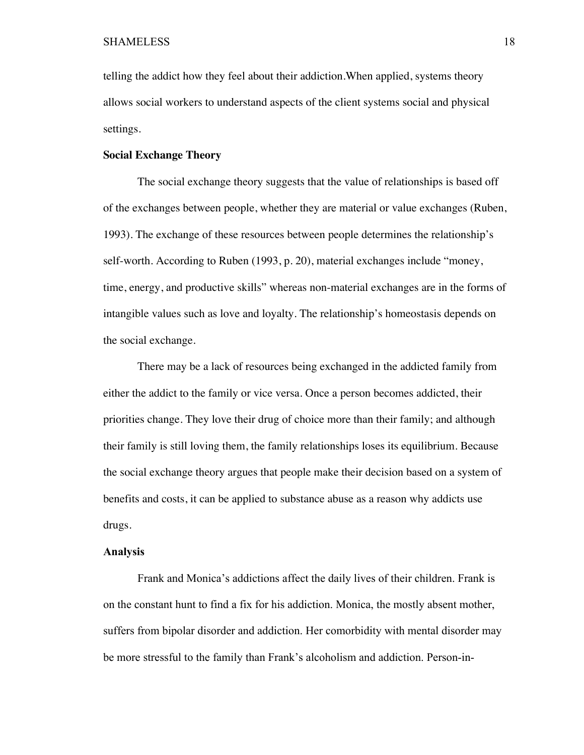telling the addict how they feel about their addiction.When applied, systems theory allows social workers to understand aspects of the client systems social and physical settings.

#### **Social Exchange Theory**

The social exchange theory suggests that the value of relationships is based off of the exchanges between people, whether they are material or value exchanges (Ruben, 1993). The exchange of these resources between people determines the relationship's self-worth. According to Ruben (1993, p. 20), material exchanges include "money, time, energy, and productive skills" whereas non-material exchanges are in the forms of intangible values such as love and loyalty. The relationship's homeostasis depends on the social exchange.

There may be a lack of resources being exchanged in the addicted family from either the addict to the family or vice versa. Once a person becomes addicted, their priorities change. They love their drug of choice more than their family; and although their family is still loving them, the family relationships loses its equilibrium. Because the social exchange theory argues that people make their decision based on a system of benefits and costs, it can be applied to substance abuse as a reason why addicts use drugs.

## **Analysis**

Frank and Monica's addictions affect the daily lives of their children. Frank is on the constant hunt to find a fix for his addiction. Monica, the mostly absent mother, suffers from bipolar disorder and addiction. Her comorbidity with mental disorder may be more stressful to the family than Frank's alcoholism and addiction. Person-in-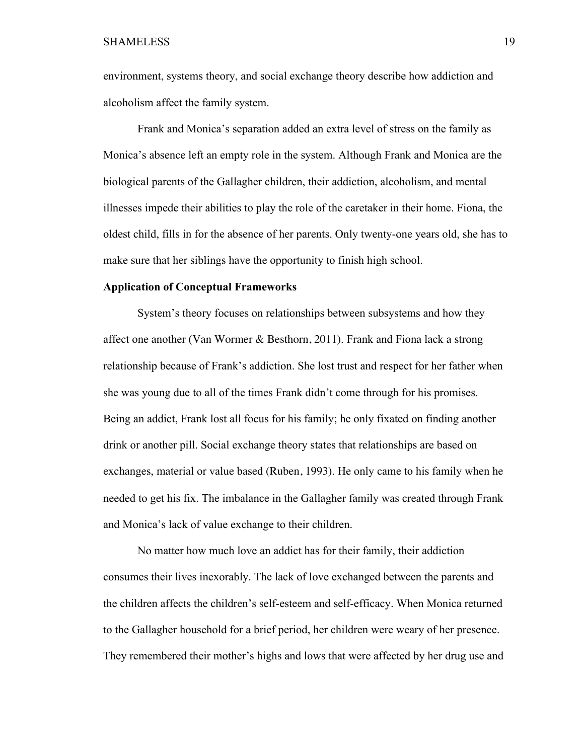environment, systems theory, and social exchange theory describe how addiction and alcoholism affect the family system.

Frank and Monica's separation added an extra level of stress on the family as Monica's absence left an empty role in the system. Although Frank and Monica are the biological parents of the Gallagher children, their addiction, alcoholism, and mental illnesses impede their abilities to play the role of the caretaker in their home. Fiona, the oldest child, fills in for the absence of her parents. Only twenty-one years old, she has to make sure that her siblings have the opportunity to finish high school.

#### **Application of Conceptual Frameworks**

System's theory focuses on relationships between subsystems and how they affect one another (Van Wormer & Besthorn, 2011). Frank and Fiona lack a strong relationship because of Frank's addiction. She lost trust and respect for her father when she was young due to all of the times Frank didn't come through for his promises. Being an addict, Frank lost all focus for his family; he only fixated on finding another drink or another pill. Social exchange theory states that relationships are based on exchanges, material or value based (Ruben, 1993). He only came to his family when he needed to get his fix. The imbalance in the Gallagher family was created through Frank and Monica's lack of value exchange to their children.

No matter how much love an addict has for their family, their addiction consumes their lives inexorably. The lack of love exchanged between the parents and the children affects the children's self-esteem and self-efficacy. When Monica returned to the Gallagher household for a brief period, her children were weary of her presence. They remembered their mother's highs and lows that were affected by her drug use and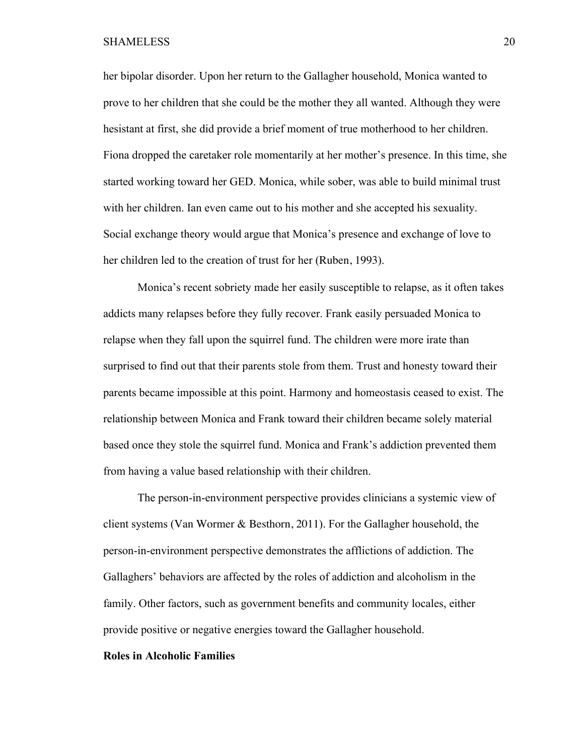her bipolar disorder. Upon her return to the Gallagher household, Monica wanted to prove to her children that she could be the mother they all wanted. Although they were hesistant at first, she did provide a brief moment of true motherhood to her children. Fiona dropped the caretaker role momentarily at her mother's presence. In this time, she started working toward her GED. Monica, while sober, was able to build minimal trust with her children. Ian even came out to his mother and she accepted his sexuality. Social exchange theory would argue that Monica's presence and exchange of love to her children led to the creation of trust for her (Ruben, 1993).

Monica's recent sobriety made her easily susceptible to relapse, as it often takes addicts many relapses before they fully recover. Frank easily persuaded Monica to relapse when they fall upon the squirrel fund. The children were more irate than surprised to find out that their parents stole from them. Trust and honesty toward their parents became impossible at this point. Harmony and homeostasis ceased to exist. The relationship between Monica and Frank toward their children became solely material based once they stole the squirrel fund. Monica and Frank's addiction prevented them from having a value based relationship with their children.

The person-in-environment perspective provides clinicians a systemic view of client systems (Van Wormer & Besthorn, 2011). For the Gallagher household, the person-in-environment perspective demonstrates the afflictions of addiction. The Gallaghers' behaviors are affected by the roles of addiction and alcoholism in the family. Other factors, such as government benefits and community locales, either provide positive or negative energies toward the Gallagher household.

## **Roles in Alcoholic Families**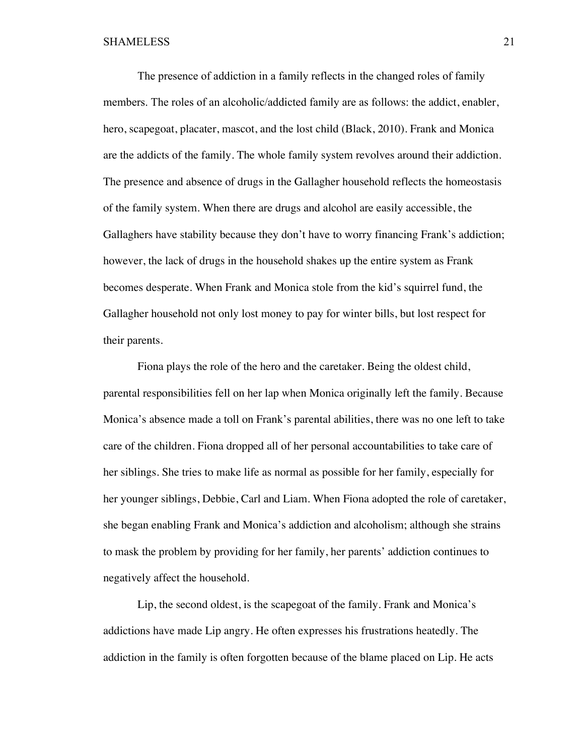The presence of addiction in a family reflects in the changed roles of family members. The roles of an alcoholic/addicted family are as follows: the addict, enabler, hero, scapegoat, placater, mascot, and the lost child (Black, 2010). Frank and Monica are the addicts of the family. The whole family system revolves around their addiction. The presence and absence of drugs in the Gallagher household reflects the homeostasis of the family system. When there are drugs and alcohol are easily accessible, the Gallaghers have stability because they don't have to worry financing Frank's addiction; however, the lack of drugs in the household shakes up the entire system as Frank becomes desperate. When Frank and Monica stole from the kid's squirrel fund, the Gallagher household not only lost money to pay for winter bills, but lost respect for their parents.

Fiona plays the role of the hero and the caretaker. Being the oldest child, parental responsibilities fell on her lap when Monica originally left the family. Because Monica's absence made a toll on Frank's parental abilities, there was no one left to take care of the children. Fiona dropped all of her personal accountabilities to take care of her siblings. She tries to make life as normal as possible for her family, especially for her younger siblings, Debbie, Carl and Liam. When Fiona adopted the role of caretaker, she began enabling Frank and Monica's addiction and alcoholism; although she strains to mask the problem by providing for her family, her parents' addiction continues to negatively affect the household.

Lip, the second oldest, is the scapegoat of the family. Frank and Monica's addictions have made Lip angry. He often expresses his frustrations heatedly. The addiction in the family is often forgotten because of the blame placed on Lip. He acts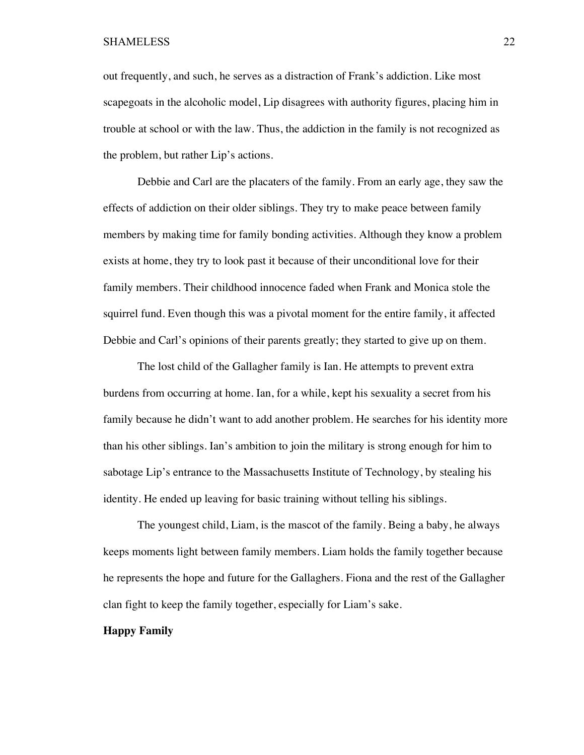out frequently, and such, he serves as a distraction of Frank's addiction. Like most scapegoats in the alcoholic model, Lip disagrees with authority figures, placing him in trouble at school or with the law. Thus, the addiction in the family is not recognized as the problem, but rather Lip's actions.

Debbie and Carl are the placaters of the family. From an early age, they saw the effects of addiction on their older siblings. They try to make peace between family members by making time for family bonding activities. Although they know a problem exists at home, they try to look past it because of their unconditional love for their family members. Their childhood innocence faded when Frank and Monica stole the squirrel fund. Even though this was a pivotal moment for the entire family, it affected Debbie and Carl's opinions of their parents greatly; they started to give up on them.

The lost child of the Gallagher family is Ian. He attempts to prevent extra burdens from occurring at home. Ian, for a while, kept his sexuality a secret from his family because he didn't want to add another problem. He searches for his identity more than his other siblings. Ian's ambition to join the military is strong enough for him to sabotage Lip's entrance to the Massachusetts Institute of Technology, by stealing his identity. He ended up leaving for basic training without telling his siblings.

The youngest child, Liam, is the mascot of the family. Being a baby, he always keeps moments light between family members. Liam holds the family together because he represents the hope and future for the Gallaghers. Fiona and the rest of the Gallagher clan fight to keep the family together, especially for Liam's sake.

#### **Happy Family**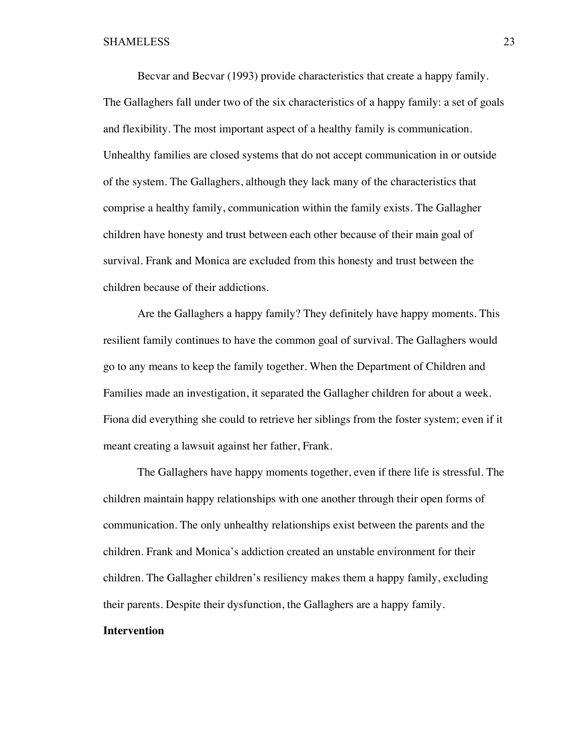Becvar and Becvar (1993) provide characteristics that create a happy family. The Gallaghers fall under two of the six characteristics of a happy family: a set of goals and flexibility. The most important aspect of a healthy family is communication. Unhealthy families are closed systems that do not accept communication in or outside of the system. The Gallaghers, although they lack many of the characteristics that comprise a healthy family, communication within the family exists. The Gallagher children have honesty and trust between each other because of their main goal of survival. Frank and Monica are excluded from this honesty and trust between the children because of their addictions.

Are the Gallaghers a happy family? They definitely have happy moments. This resilient family continues to have the common goal of survival. The Gallaghers would go to any means to keep the family together. When the Department of Children and Families made an investigation, it separated the Gallagher children for about a week. Fiona did everything she could to retrieve her siblings from the foster system; even if it meant creating a lawsuit against her father, Frank.

The Gallaghers have happy moments together, even if there life is stressful. The children maintain happy relationships with one another through their open forms of communication. The only unhealthy relationships exist between the parents and the children. Frank and Monica's addiction created an unstable environment for their children. The Gallagher children's resiliency makes them a happy family, excluding their parents. Despite their dysfunction, the Gallaghers are a happy family.

## **Intervention**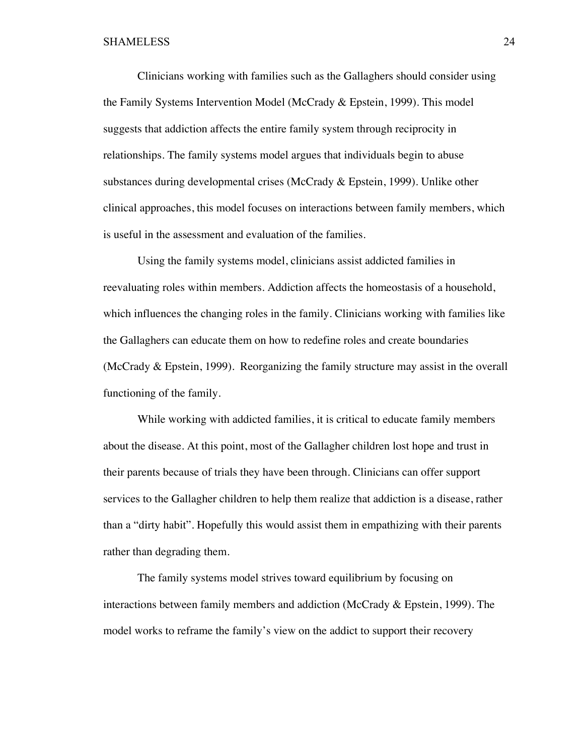Clinicians working with families such as the Gallaghers should consider using the Family Systems Intervention Model (McCrady & Epstein, 1999). This model suggests that addiction affects the entire family system through reciprocity in relationships. The family systems model argues that individuals begin to abuse substances during developmental crises (McCrady & Epstein, 1999). Unlike other clinical approaches, this model focuses on interactions between family members, which is useful in the assessment and evaluation of the families.

Using the family systems model, clinicians assist addicted families in reevaluating roles within members. Addiction affects the homeostasis of a household, which influences the changing roles in the family. Clinicians working with families like the Gallaghers can educate them on how to redefine roles and create boundaries (McCrady & Epstein, 1999). Reorganizing the family structure may assist in the overall functioning of the family.

While working with addicted families, it is critical to educate family members about the disease. At this point, most of the Gallagher children lost hope and trust in their parents because of trials they have been through. Clinicians can offer support services to the Gallagher children to help them realize that addiction is a disease, rather than a "dirty habit". Hopefully this would assist them in empathizing with their parents rather than degrading them.

The family systems model strives toward equilibrium by focusing on interactions between family members and addiction (McCrady & Epstein, 1999). The model works to reframe the family's view on the addict to support their recovery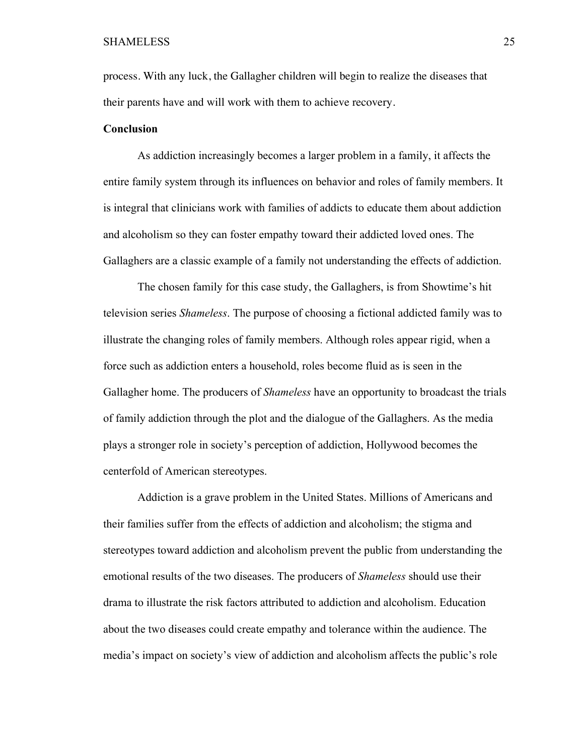process. With any luck, the Gallagher children will begin to realize the diseases that their parents have and will work with them to achieve recovery.

#### **Conclusion**

As addiction increasingly becomes a larger problem in a family, it affects the entire family system through its influences on behavior and roles of family members. It is integral that clinicians work with families of addicts to educate them about addiction and alcoholism so they can foster empathy toward their addicted loved ones. The Gallaghers are a classic example of a family not understanding the effects of addiction.

The chosen family for this case study, the Gallaghers, is from Showtime's hit television series *Shameless*. The purpose of choosing a fictional addicted family was to illustrate the changing roles of family members. Although roles appear rigid, when a force such as addiction enters a household, roles become fluid as is seen in the Gallagher home. The producers of *Shameless* have an opportunity to broadcast the trials of family addiction through the plot and the dialogue of the Gallaghers. As the media plays a stronger role in society's perception of addiction, Hollywood becomes the centerfold of American stereotypes.

Addiction is a grave problem in the United States. Millions of Americans and their families suffer from the effects of addiction and alcoholism; the stigma and stereotypes toward addiction and alcoholism prevent the public from understanding the emotional results of the two diseases. The producers of *Shameless* should use their drama to illustrate the risk factors attributed to addiction and alcoholism. Education about the two diseases could create empathy and tolerance within the audience. The media's impact on society's view of addiction and alcoholism affects the public's role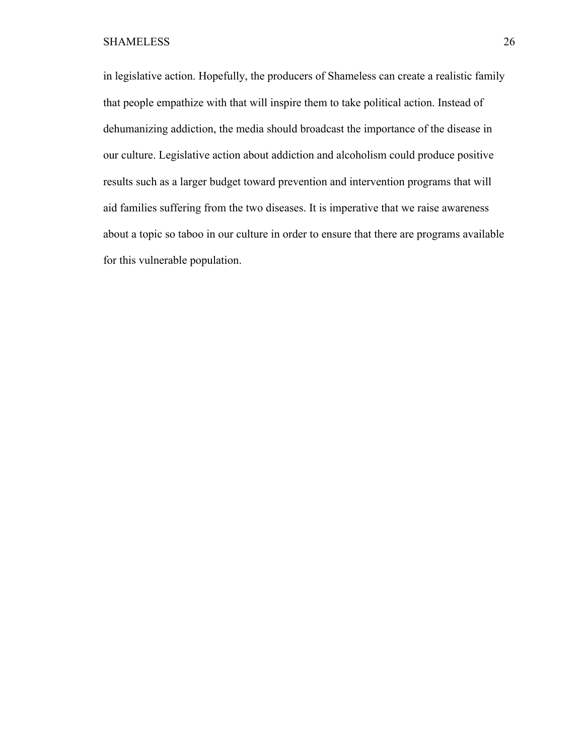in legislative action. Hopefully, the producers of Shameless can create a realistic family that people empathize with that will inspire them to take political action. Instead of dehumanizing addiction, the media should broadcast the importance of the disease in our culture. Legislative action about addiction and alcoholism could produce positive results such as a larger budget toward prevention and intervention programs that will aid families suffering from the two diseases. It is imperative that we raise awareness about a topic so taboo in our culture in order to ensure that there are programs available for this vulnerable population.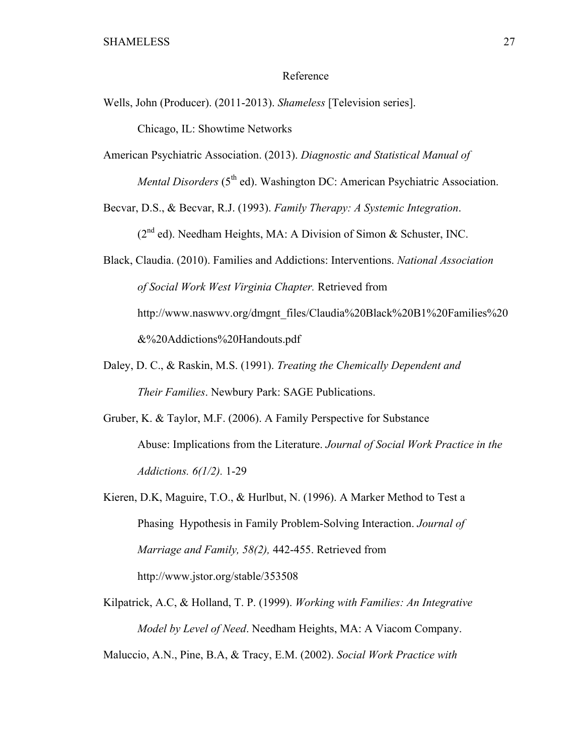#### Reference

Wells, John (Producer). (2011-2013). *Shameless* [Television series].

Chicago, IL: Showtime Networks

American Psychiatric Association. (2013). *Diagnostic and Statistical Manual of Mental Disorders* (5<sup>th</sup> ed). Washington DC: American Psychiatric Association.

Becvar, D.S., & Becvar, R.J. (1993). *Family Therapy: A Systemic Integration*.

 $(2^{nd}$  ed). Needham Heights, MA: A Division of Simon & Schuster, INC.

Black, Claudia. (2010). Families and Addictions: Interventions. *National Association of Social Work West Virginia Chapter.* Retrieved from http://www.naswwv.org/dmgnt\_files/Claudia%20Black%20B1%20Families%20 &%20Addictions%20Handouts.pdf

- Daley, D. C., & Raskin, M.S. (1991). *Treating the Chemically Dependent and Their Families*. Newbury Park: SAGE Publications.
- Gruber, K. & Taylor, M.F. (2006). A Family Perspective for Substance Abuse: Implications from the Literature. *Journal of Social Work Practice in the Addictions. 6(1/2).* 1-29

Kieren, D.K, Maguire, T.O., & Hurlbut, N. (1996). A Marker Method to Test a Phasing Hypothesis in Family Problem-Solving Interaction. *Journal of Marriage and Family, 58(2),* 442-455. Retrieved from http://www.jstor.org/stable/353508

Kilpatrick, A.C, & Holland, T. P. (1999). *Working with Families: An Integrative Model by Level of Need*. Needham Heights, MA: A Viacom Company.

Maluccio, A.N., Pine, B.A, & Tracy, E.M. (2002). *Social Work Practice with*